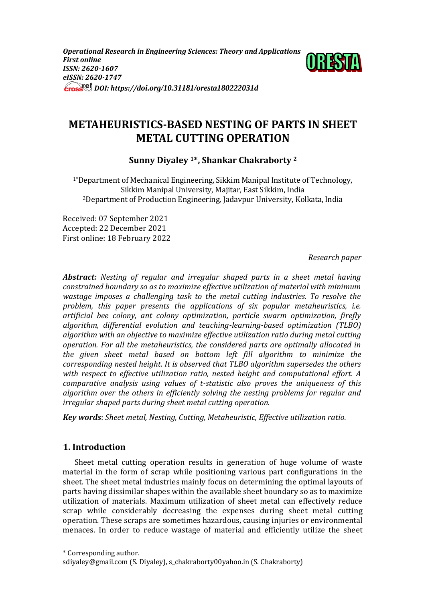*Operational Research in Engineering Sciences: Theory and Applications First online ISSN: 2620-1607 eISSN: 2620-1747 DOI: https://doi.org/10.31181/oresta180222031d*



# **METAHEURISTICS-BASED NESTING OF PARTS IN SHEET METAL CUTTING OPERATION**

**Sunny Diyaley 1\*, Shankar Chakraborty <sup>2</sup>**

1\*Department of Mechanical Engineering, Sikkim Manipal Institute of Technology, Sikkim Manipal University, Majitar, East Sikkim, India <sup>2</sup>Department of Production Engineering, Jadavpur University, Kolkata, India

Received: 07 September 2021 Accepted: 22 December 2021 First online: 18 February 2022

*Research paper*

*Abstract: Nesting of regular and irregular shaped parts in a sheet metal having constrained boundary so as to maximize effective utilization of material with minimum wastage imposes a challenging task to the metal cutting industries. To resolve the problem, this paper presents the applications of six popular metaheuristics, i.e. artificial bee colony, ant colony optimization, particle swarm optimization, firefly algorithm, differential evolution and teaching-learning-based optimization (TLBO) algorithm with an objective to maximize effective utilization ratio during metal cutting operation. For all the metaheuristics, the considered parts are optimally allocated in the given sheet metal based on bottom left fill algorithm to minimize the corresponding nested height. It is observed that TLBO algorithm supersedes the others with respect to effective utilization ratio, nested height and computational effort. A comparative analysis using values of t-statistic also proves the uniqueness of this algorithm over the others in efficiently solving the nesting problems for regular and irregular shaped parts during sheet metal cutting operation.*

*Key words*: *Sheet metal, Nesting, Cutting, Metaheuristic, Effective utilization ratio.*

# **1. Introduction**

Sheet metal cutting operation results in generation of huge volume of waste material in the form of scrap while positioning various part configurations in the sheet. The sheet metal industries mainly focus on determining the optimal layouts of parts having dissimilar shapes within the available sheet boundary so as to maximize utilization of materials. Maximum utilization of sheet metal can effectively reduce scrap while considerably decreasing the expenses during sheet metal cutting operation. These scraps are sometimes hazardous, causing injuries or environmental menaces. In order to reduce wastage of material and efficiently utilize the sheet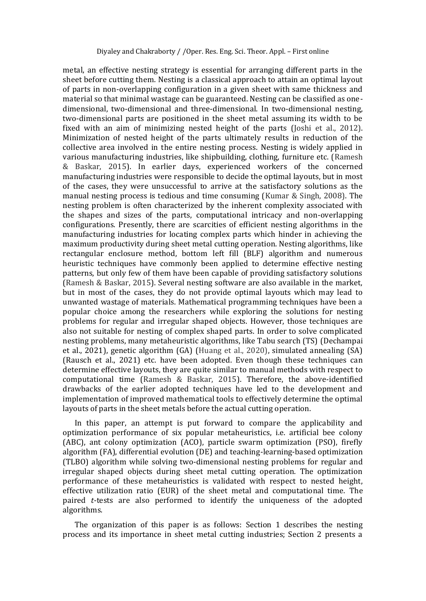metal, an effective nesting strategy is essential for arranging different parts in the sheet before cutting them. Nesting is a classical approach to attain an optimal layout of parts in non-overlapping configuration in a given sheet with same thickness and material so that minimal wastage can be guaranteed. Nesting can be classified as onedimensional, two-dimensional and three-dimensional. In two-dimensional nesting, two-dimensional parts are positioned in the sheet metal assuming its width to be fixed with an aim of minimizing nested height of the parts (Joshi et al., 2012). Minimization of nested height of the parts ultimately results in reduction of the collective area involved in the entire nesting process. Nesting is widely applied in various manufacturing industries, like shipbuilding, clothing, furniture etc. (Ramesh & Baskar, 2015). In earlier days, experienced workers of the concerned manufacturing industries were responsible to decide the optimal layouts, but in most of the cases, they were unsuccessful to arrive at the satisfactory solutions as the manual nesting process is tedious and time consuming (Kumar & Singh, 2008). The nesting problem is often characterized by the inherent complexity associated with the shapes and sizes of the parts, computational intricacy and non-overlapping configurations. Presently, there are scarcities of efficient nesting algorithms in the manufacturing industries for locating complex parts which hinder in achieving the maximum productivity during sheet metal cutting operation. Nesting algorithms, like rectangular enclosure method, bottom left fill (BLF) algorithm and numerous heuristic techniques have commonly been applied to determine effective nesting patterns, but only few of them have been capable of providing satisfactory solutions (Ramesh & Baskar, 2015). Several nesting software are also available in the market, but in most of the cases, they do not provide optimal layouts which may lead to unwanted wastage of materials. Mathematical programming techniques have been a popular choice among the researchers while exploring the solutions for nesting problems for regular and irregular shaped objects. However, those techniques are also not suitable for nesting of complex shaped parts. In order to solve complicated nesting problems, many metaheuristic algorithms, like Tabu search (TS) (Dechampai et al., 2021), genetic algorithm (GA) (Huang et al., 2020), simulated annealing (SA) (Rausch et al., 2021) etc. have been adopted. Even though these techniques can determine effective layouts, they are quite similar to manual methods with respect to computational time (Ramesh & Baskar, 2015). Therefore, the above-identified drawbacks of the earlier adopted techniques have led to the development and implementation of improved mathematical tools to effectively determine the optimal layouts of parts in the sheet metals before the actual cutting operation.

In this paper, an attempt is put forward to compare the applicability and optimization performance of six popular metaheuristics, i.e. artificial bee colony (ABC), ant colony optimization (ACO), particle swarm optimization (PSO), firefly algorithm (FA), differential evolution (DE) and teaching-learning-based optimization (TLBO) algorithm while solving two-dimensional nesting problems for regular and irregular shaped objects during sheet metal cutting operation. The optimization performance of these metaheuristics is validated with respect to nested height, effective utilization ratio (EUR) of the sheet metal and computational time. The paired *t*-tests are also performed to identify the uniqueness of the adopted algorithms.

The organization of this paper is as follows: Section 1 describes the nesting process and its importance in sheet metal cutting industries; Section 2 presents a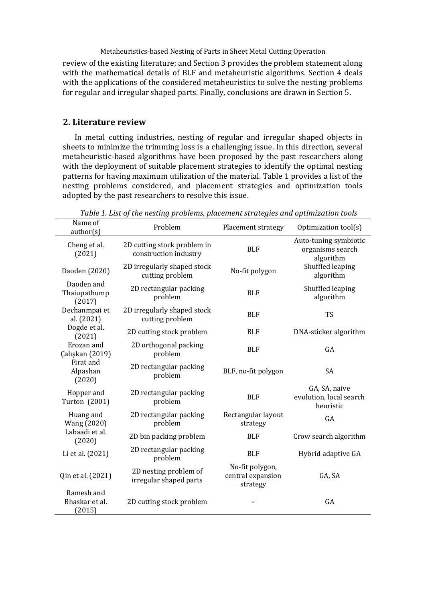review of the existing literature; and Section 3 provides the problem statement along with the mathematical details of BLF and metaheuristic algorithms. Section 4 deals with the applications of the considered metaheuristics to solve the nesting problems for regular and irregular shaped parts. Finally, conclusions are drawn in Section 5.

# **2. Literature review**

In metal cutting industries, nesting of regular and irregular shaped objects in sheets to minimize the trimming loss is a challenging issue. In this direction, several metaheuristic-based algorithms have been proposed by the past researchers along with the deployment of suitable placement strategies to identify the optimal nesting patterns for having maximum utilization of the material. Table 1 provides a list of the nesting problems considered, and placement strategies and optimization tools adopted by the past researchers to resolve this issue.

| Name of<br>author(s)                   | Problem                                              | Placement strategy                               | Optimization tool(s)                                   |  |
|----------------------------------------|------------------------------------------------------|--------------------------------------------------|--------------------------------------------------------|--|
| Cheng et al.<br>(2021)                 | 2D cutting stock problem in<br>construction industry | <b>BLF</b>                                       | Auto-tuning symbiotic<br>organisms search<br>algorithm |  |
| Daoden (2020)                          | 2D irregularly shaped stock<br>cutting problem       | No-fit polygon                                   | Shuffled leaping<br>algorithm                          |  |
| Daoden and<br>Thaiupathump<br>(2017)   | 2D rectangular packing<br>problem                    | <b>BLF</b>                                       | Shuffled leaping<br>algorithm                          |  |
| Dechanmpai et<br>al. (2021)            | 2D irregularly shaped stock<br>cutting problem       | <b>BLF</b>                                       | <b>TS</b>                                              |  |
| Dogde et al.<br>(2021)                 | 2D cutting stock problem                             | <b>BLF</b>                                       | DNA-sticker algorithm                                  |  |
| Erozan and<br>Çalışkan (2019)          | 2D orthogonal packing<br>problem                     | <b>BLF</b>                                       | GA                                                     |  |
| Firat and<br>Alpashan<br>(2020)        | 2D rectangular packing<br>problem                    | BLF, no-fit polygon                              | <b>SA</b>                                              |  |
| Hopper and<br>Turton (2001)            | 2D rectangular packing<br>problem                    | <b>BLF</b>                                       | GA, SA, naive<br>evolution, local search<br>heuristic  |  |
| Huang and<br>Wang (2020)               | 2D rectangular packing<br>problem                    | Rectangular layout<br>strategy                   | GA                                                     |  |
| Labaadi et al.<br>(2020)               | 2D bin packing problem                               | <b>BLF</b>                                       | Crow search algorithm                                  |  |
| Li et al. (2021)                       | 2D rectangular packing<br>problem                    | <b>BLF</b>                                       | Hybrid adaptive GA                                     |  |
| Qin et al. (2021)                      | 2D nesting problem of<br>irregular shaped parts      | No-fit polygon,<br>central expansion<br>strategy | GA, SA                                                 |  |
| Ramesh and<br>Bhaskar et al.<br>(2015) | 2D cutting stock problem                             |                                                  | GA                                                     |  |

*Table 1. List of the nesting problems, placement strategies and optimization tools*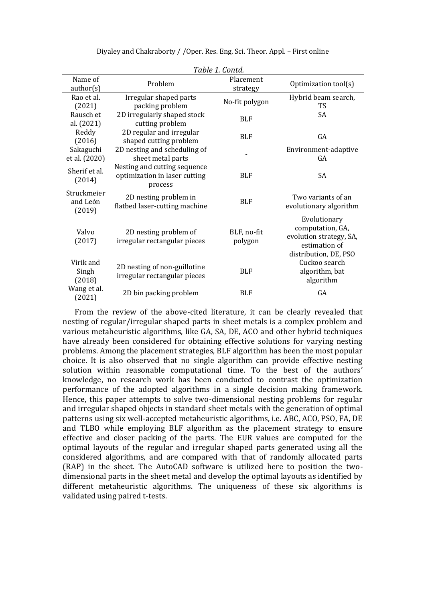| Table 1. Contd.                   |                                                                          |                        |                                                                                                       |  |  |  |
|-----------------------------------|--------------------------------------------------------------------------|------------------------|-------------------------------------------------------------------------------------------------------|--|--|--|
| Name of<br>author(s)              | Problem                                                                  | Placement<br>strategy  | Optimization tool(s)                                                                                  |  |  |  |
| Rao et al.<br>(2021)              | Irregular shaped parts<br>packing problem                                | No-fit polygon         | Hybrid beam search,<br><b>TS</b>                                                                      |  |  |  |
| Rausch et<br>al. (2021)           | 2D irregularly shaped stock<br>cutting problem                           | <b>BLF</b>             | SA                                                                                                    |  |  |  |
| Reddy<br>(2016)                   | 2D regular and irregular<br>shaped cutting problem                       | <b>BLF</b>             | GA                                                                                                    |  |  |  |
| Sakaguchi<br>et al. (2020)        | 2D nesting and scheduling of<br>sheet metal parts                        |                        | Environment-adaptive<br>GA                                                                            |  |  |  |
| Sherif et al.<br>(2014)           | Nesting and cutting sequence<br>optimization in laser cutting<br>process | <b>BLF</b>             | SA                                                                                                    |  |  |  |
| Struckmeier<br>and León<br>(2019) | 2D nesting problem in<br>flatbed laser-cutting machine                   | <b>BLF</b>             | Two variants of an<br>evolutionary algorithm                                                          |  |  |  |
| Valvo<br>(2017)                   | 2D nesting problem of<br>irregular rectangular pieces                    | BLF, no-fit<br>polygon | Evolutionary<br>computation, GA,<br>evolution strategy, SA,<br>estimation of<br>distribution, DE, PSO |  |  |  |
| Virik and<br>Singh<br>(2018)      | 2D nesting of non-guillotine<br>irregular rectangular pieces             | <b>BLF</b>             | Cuckoo search<br>algorithm, bat<br>algorithm                                                          |  |  |  |
| Wang et al.<br>(2021)             | 2D bin packing problem                                                   | <b>BLF</b>             | GA                                                                                                    |  |  |  |

From the review of the above-cited literature, it can be clearly revealed that nesting of regular/irregular shaped parts in sheet metals is a complex problem and various metaheuristic algorithms, like GA, SA, DE, ACO and other hybrid techniques have already been considered for obtaining effective solutions for varying nesting problems. Among the placement strategies, BLF algorithm has been the most popular choice. It is also observed that no single algorithm can provide effective nesting solution within reasonable computational time. To the best of the authors' knowledge, no research work has been conducted to contrast the optimization performance of the adopted algorithms in a single decision making framework. Hence, this paper attempts to solve two-dimensional nesting problems for regular and irregular shaped objects in standard sheet metals with the generation of optimal patterns using six well-accepted metaheuristic algorithms, i.e. ABC, ACO, PSO, FA, DE and TLBO while employing BLF algorithm as the placement strategy to ensure effective and closer packing of the parts. The EUR values are computed for the optimal layouts of the regular and irregular shaped parts generated using all the considered algorithms, and are compared with that of randomly allocated parts (RAP) in the sheet. The AutoCAD software is utilized here to position the twodimensional parts in the sheet metal and develop the optimal layouts as identified by different metaheuristic algorithms. The uniqueness of these six algorithms is validated using paired t-tests.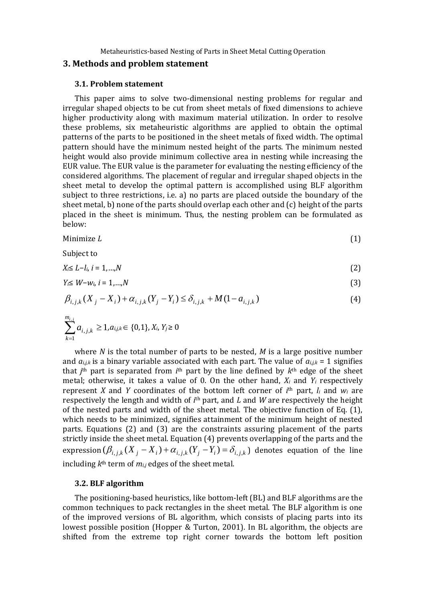#### **3. Methods and problem statement**

#### **3.1. Problem statement**

This paper aims to solve two-dimensional nesting problems for regular and irregular shaped objects to be cut from sheet metals of fixed dimensions to achieve higher productivity along with maximum material utilization. In order to resolve these problems, six metaheuristic algorithms are applied to obtain the optimal patterns of the parts to be positioned in the sheet metals of fixed width. The optimal pattern should have the minimum nested height of the parts. The minimum nested height would also provide minimum collective area in nesting while increasing the EUR value. The EUR value is the parameter for evaluating the nesting efficiency of the considered algorithms. The placement of regular and irregular shaped objects in the sheet metal to develop the optimal pattern is accomplished using BLF algorithm subject to three restrictions, i.e. a) no parts are placed outside the boundary of the sheet metal, b) none of the parts should overlap each other and (c) height of the parts placed in the sheet is minimum. Thus, the nesting problem can be formulated as below:

Minimize *L* (1)

$$
(1)
$$

Subject to

$$
X_i \le L - l_i, \quad i = 1, \ldots, N \tag{2}
$$

$$
Y_i \leq W - w_i, \, i = 1, \ldots, N \tag{3}
$$

$$
\beta_{i,j,k}(X_j - X_i) + \alpha_{i,j,k}(Y_j - Y_i) \le \delta_{i,j,k} + M(1 - a_{i,j,k})
$$
\n(4)

$$
\sum_{k=1}^{m_{i,j}} a_{i,j,k} \ge 1, a_{i,j,k} \in \{0,1\}, X_i, Y_j \ge 0
$$

where *N* is the total number of parts to be nested, *M* is a large positive number and  $a_{i,j,k}$  is a binary variable associated with each part. The value of  $a_{i,j,k} = 1$  signifies that  $j<sup>th</sup>$  part is separated from  $i<sup>th</sup>$  part by the line defined by  $k<sup>th</sup>$  edge of the sheet metal; otherwise, it takes a value of 0. On the other hand,  $X_i$  and  $Y_i$  respectively represent *X* and *Y* coordinates of the bottom left corner of  $i<sup>th</sup>$  part,  $l_i$  and  $w_i$  are respectively the length and width of *i*<sup>th</sup> part, and *L* and *W* are respectively the height of the nested parts and width of the sheet metal. The objective function of Eq. (1), which needs to be minimized, signifies attainment of the minimum height of nested parts. Equations (2) and (3) are the constraints assuring placement of the parts strictly inside the sheet metal. Equation (4) prevents overlapping of the parts and the expression  $(\beta_{i,j,k}(X_j - X_i) + \alpha_{i,j,k}(Y_j - Y_i) = \delta_{i,j,k})$  denotes equation of the line including *k* th term of *mi,j* edges of the sheet metal.

#### **3.2. BLF algorithm**

The positioning-based heuristics, like bottom-left (BL) and BLF algorithms are the common techniques to pack rectangles in the sheet metal. The BLF algorithm is one of the improved versions of BL algorithm, which consists of placing parts into its lowest possible position (Hopper & Turton, 2001). In BL algorithm, the objects are shifted from the extreme top right corner towards the bottom left position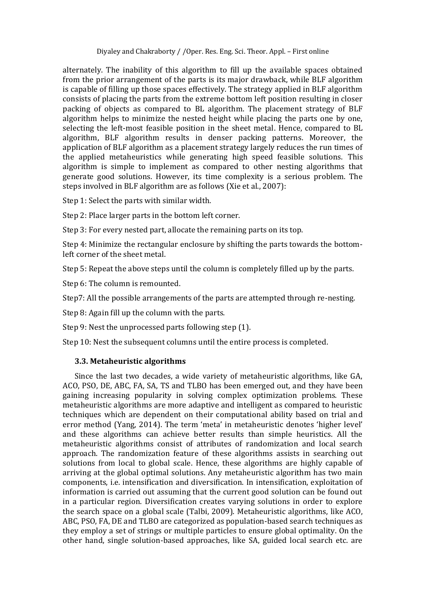alternately. The inability of this algorithm to fill up the available spaces obtained from the prior arrangement of the parts is its major drawback, while BLF algorithm is capable of filling up those spaces effectively. The strategy applied in BLF algorithm consists of placing the parts from the extreme bottom left position resulting in closer packing of objects as compared to BL algorithm. The placement strategy of BLF algorithm helps to minimize the nested height while placing the parts one by one, selecting the left-most feasible position in the sheet metal. Hence, compared to BL algorithm, BLF algorithm results in denser packing patterns. Moreover, the application of BLF algorithm as a placement strategy largely reduces the run times of the applied metaheuristics while generating high speed feasible solutions. This algorithm is simple to implement as compared to other nesting algorithms that generate good solutions. However, its time complexity is a serious problem. The steps involved in BLF algorithm are as follows (Xie et al., 2007):

Step 1: Select the parts with similar width.

Step 2: Place larger parts in the bottom left corner.

Step 3: For every nested part, allocate the remaining parts on its top.

Step 4: Minimize the rectangular enclosure by shifting the parts towards the bottomleft corner of the sheet metal.

Step 5: Repeat the above steps until the column is completely filled up by the parts.

Step 6: The column is remounted.

Step7: All the possible arrangements of the parts are attempted through re-nesting.

Step 8: Again fill up the column with the parts.

Step 9: Nest the unprocessed parts following step (1).

Step 10: Nest the subsequent columns until the entire process is completed.

## **3.3. Metaheuristic algorithms**

Since the last two decades, a wide variety of metaheuristic algorithms, like GA, ACO, PSO, DE, ABC, FA, SA, TS and TLBO has been emerged out, and they have been gaining increasing popularity in solving complex optimization problems. These metaheuristic algorithms are more adaptive and intelligent as compared to heuristic techniques which are dependent on their computational ability based on trial and error method (Yang, 2014). The term 'meta' in metaheuristic denotes 'higher level' and these algorithms can achieve better results than simple heuristics. All the metaheuristic algorithms consist of attributes of randomization and local search approach. The randomization feature of these algorithms assists in searching out solutions from local to global scale. Hence, these algorithms are highly capable of arriving at the global optimal solutions. Any metaheuristic algorithm has two main components, i.e. intensification and diversification. In intensification, exploitation of information is carried out assuming that the current good solution can be found out in a particular region. Diversification creates varying solutions in order to explore the search space on a global scale (Talbi, 2009). Metaheuristic algorithms, like ACO, ABC, PSO, FA, DE and TLBO are categorized as population-based search techniques as they employ a set of strings or multiple particles to ensure global optimality. On the other hand, single solution-based approaches, like SA, guided local search etc. are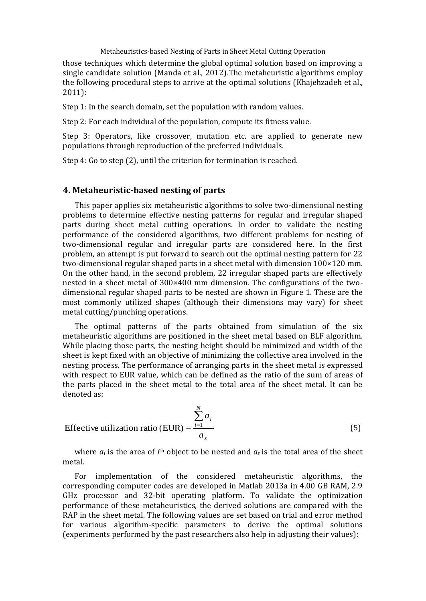those techniques which determine the global optimal solution based on improving a single candidate solution (Manda et al., 2012).The metaheuristic algorithms employ the following procedural steps to arrive at the optimal solutions (Khajehzadeh et al., 2011):

Step 1: In the search domain, set the population with random values.

Step 2: For each individual of the population, compute its fitness value.

Step 3: Operators, like crossover, mutation etc. are applied to generate new populations through reproduction of the preferred individuals.

Step 4: Go to step (2), until the criterion for termination is reached.

### **4. Metaheuristic-based nesting of parts**

This paper applies six metaheuristic algorithms to solve two-dimensional nesting problems to determine effective nesting patterns for regular and irregular shaped parts during sheet metal cutting operations. In order to validate the nesting performance of the considered algorithms, two different problems for nesting of two-dimensional regular and irregular parts are considered here. In the first problem, an attempt is put forward to search out the optimal nesting pattern for 22 two-dimensional regular shaped parts in a sheet metal with dimension 100×120 mm. On the other hand, in the second problem, 22 irregular shaped parts are effectively nested in a sheet metal of 300×400 mm dimension. The configurations of the twodimensional regular shaped parts to be nested are shown in Figure 1. These are the most commonly utilized shapes (although their dimensions may vary) for sheet metal cutting/punching operations.

The optimal patterns of the parts obtained from simulation of the six metaheuristic algorithms are positioned in the sheet metal based on BLF algorithm. While placing those parts, the nesting height should be minimized and width of the sheet is kept fixed with an objective of minimizing the collective area involved in the nesting process. The performance of arranging parts in the sheet metal is expressed with respect to EUR value, which can be defined as the ratio of the sum of areas of the parts placed in the sheet metal to the total area of the sheet metal. It can be denoted as:

$$
\text{Effective utilization ratio (EUR)} = \frac{\sum_{i=1}^{N} a_i}{a_s} \tag{5}
$$

where  $a_i$  is the area of  $i<sup>th</sup>$  object to be nested and  $a_s$  is the total area of the sheet metal.

For implementation of the considered metaheuristic algorithms, the corresponding computer codes are developed in Matlab 2013a in 4.00 GB RAM, 2.9 GHz processor and 32-bit operating platform. To validate the optimization performance of these metaheuristics, the derived solutions are compared with the RAP in the sheet metal. The following values are set based on trial and error method for various algorithm-specific parameters to derive the optimal solutions (experiments performed by the past researchers also help in adjusting their values):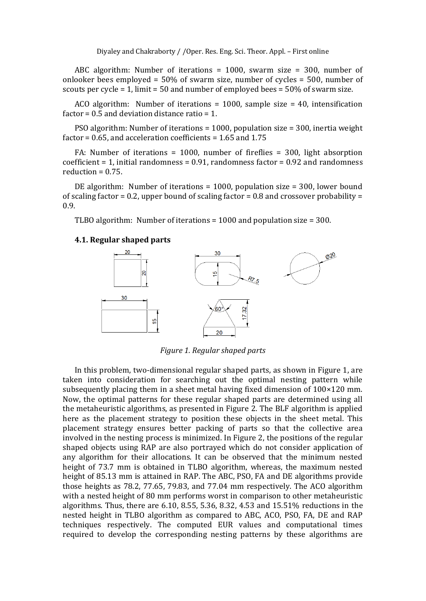ABC algorithm: Number of iterations = 1000, swarm size = 300, number of onlooker bees employed = 50% of swarm size, number of cycles = 500, number of scouts per cycle  $= 1$ , limit  $= 50$  and number of employed bees  $= 50\%$  of swarm size.

ACO algorithm: Number of iterations = 1000, sample size = 40, intensification factor =  $0.5$  and deviation distance ratio = 1.

PSO algorithm: Number of iterations = 1000, population size = 300, inertia weight factor = 0.65, and acceleration coefficients = 1.65 and 1.75

FA: Number of iterations = 1000, number of fireflies = 300, light absorption coefficient  $= 1$ , initial randomness  $= 0.91$ , randomness factor  $= 0.92$  and randomness  $reduction = 0.75.$ 

DE algorithm: Number of iterations = 1000, population size = 300, lower bound of scaling factor = 0.2, upper bound of scaling factor =  $0.8$  and crossover probability = 0.9.

TLBO algorithm: Number of iterations = 1000 and population size = 300.

#### **4.1. Regular shaped parts**



*Figure 1. Regular shaped parts*

In this problem, two-dimensional regular shaped parts, as shown in Figure 1, are taken into consideration for searching out the optimal nesting pattern while subsequently placing them in a sheet metal having fixed dimension of 100×120 mm. Now, the optimal patterns for these regular shaped parts are determined using all the metaheuristic algorithms, as presented in Figure 2. The BLF algorithm is applied here as the placement strategy to position these objects in the sheet metal. This placement strategy ensures better packing of parts so that the collective area involved in the nesting process is minimized. In Figure 2, the positions of the regular shaped objects using RAP are also portrayed which do not consider application of any algorithm for their allocations. It can be observed that the minimum nested height of 73.7 mm is obtained in TLBO algorithm, whereas, the maximum nested height of 85.13 mm is attained in RAP. The ABC, PSO, FA and DE algorithms provide those heights as 78.2, 77.65, 79.83, and 77.04 mm respectively. The ACO algorithm with a nested height of 80 mm performs worst in comparison to other metaheuristic algorithms. Thus, there are 6.10, 8.55, 5.36, 8.32, 4.53 and 15.51% reductions in the nested height in TLBO algorithm as compared to ABC, ACO, PSO, FA, DE and RAP techniques respectively. The computed EUR values and computational times required to develop the corresponding nesting patterns by these algorithms are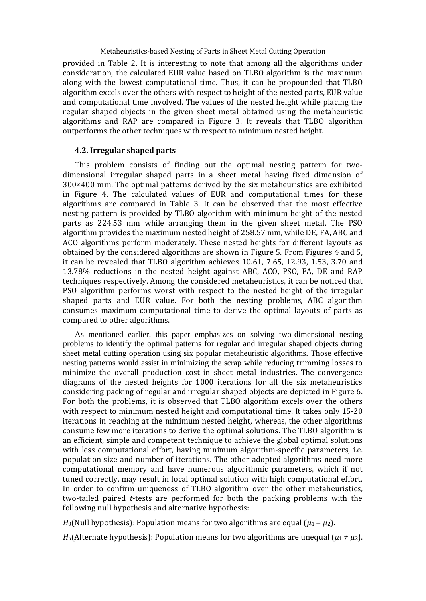provided in Table 2. It is interesting to note that among all the algorithms under consideration, the calculated EUR value based on TLBO algorithm is the maximum along with the lowest computational time. Thus, it can be propounded that TLBO algorithm excels over the others with respect to height of the nested parts, EUR value and computational time involved. The values of the nested height while placing the regular shaped objects in the given sheet metal obtained using the metaheuristic algorithms and RAP are compared in Figure 3. It reveals that TLBO algorithm outperforms the other techniques with respect to minimum nested height.

#### **4.2. Irregular shaped parts**

This problem consists of finding out the optimal nesting pattern for twodimensional irregular shaped parts in a sheet metal having fixed dimension of 300×400 mm. The optimal patterns derived by the six metaheuristics are exhibited in Figure 4. The calculated values of EUR and computational times for these algorithms are compared in Table 3. It can be observed that the most effective nesting pattern is provided by TLBO algorithm with minimum height of the nested parts as 224.53 mm while arranging them in the given sheet metal. The PSO algorithm provides the maximum nested height of 258.57 mm, while DE, FA, ABC and ACO algorithms perform moderately. These nested heights for different layouts as obtained by the considered algorithms are shown in Figure 5. From Figures 4 and 5, it can be revealed that TLBO algorithm achieves 10.61, 7.65, 12.93, 1.53, 3.70 and 13.78% reductions in the nested height against ABC, ACO, PSO, FA, DE and RAP techniques respectively. Among the considered metaheuristics, it can be noticed that PSO algorithm performs worst with respect to the nested height of the irregular shaped parts and EUR value. For both the nesting problems, ABC algorithm consumes maximum computational time to derive the optimal layouts of parts as compared to other algorithms.

As mentioned earlier, this paper emphasizes on solving two-dimensional nesting problems to identify the optimal patterns for regular and irregular shaped objects during sheet metal cutting operation using six popular metaheuristic algorithms. Those effective nesting patterns would assist in minimizing the scrap while reducing trimming losses to minimize the overall production cost in sheet metal industries. The convergence diagrams of the nested heights for 1000 iterations for all the six metaheuristics considering packing of regular and irregular shaped objects are depicted in Figure 6. For both the problems, it is observed that TLBO algorithm excels over the others with respect to minimum nested height and computational time. It takes only 15-20 iterations in reaching at the minimum nested height, whereas, the other algorithms consume few more iterations to derive the optimal solutions. The TLBO algorithm is an efficient, simple and competent technique to achieve the global optimal solutions with less computational effort, having minimum algorithm-specific parameters, i.e. population size and number of iterations. The other adopted algorithms need more computational memory and have numerous algorithmic parameters, which if not tuned correctly, may result in local optimal solution with high computational effort. In order to confirm uniqueness of TLBO algorithm over the other metaheuristics, two-tailed paired *t*-tests are performed for both the packing problems with the following null hypothesis and alternative hypothesis:

*H*<sub>0</sub>(Null hypothesis): Population means for two algorithms are equal ( $\mu_1 = \mu_2$ ).

*H*<sub>a</sub>(Alternate hypothesis): Population means for two algorithms are unequal  $(\mu_1 \neq \mu_2)$ .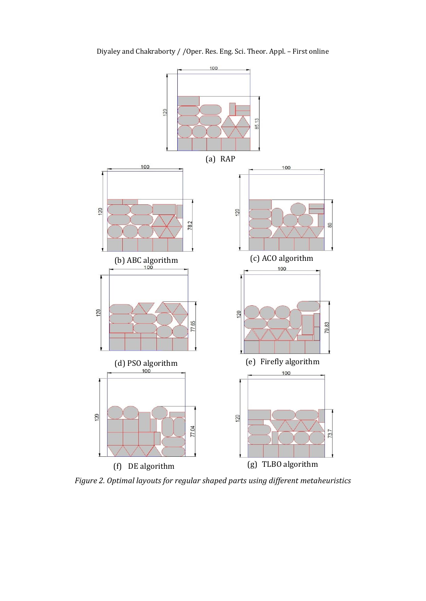

Diyaley and Chakraborty / /Oper. Res. Eng. Sci. Theor. Appl. – First online

*Figure 2. Optimal layouts for regular shaped parts using different metaheuristics*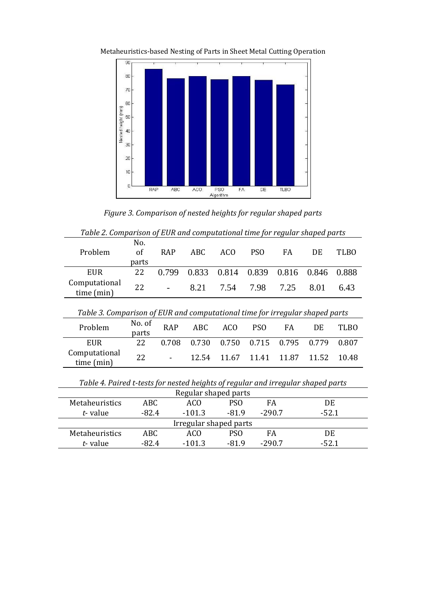

Metaheuristics-based Nesting of Parts in Sheet Metal Cutting Operation

*Figure 3. Comparison of nested heights for regular shaped parts*

| Table 2. Comparison of EUR and Compatational time for regain shaped parts        |                    |       |            |                 |                 |       |         |             |
|----------------------------------------------------------------------------------|--------------------|-------|------------|-----------------|-----------------|-------|---------|-------------|
| Problem                                                                          | No.<br>of<br>parts | RAP   | <b>ABC</b> | AC <sub>O</sub> | PS <sub>O</sub> | FA    | DE      | <b>TLBO</b> |
| <b>EUR</b>                                                                       | 22                 | 0.799 | 0.833      | 0.814           | 0.839           | 0.816 | 0.846   | 0.888       |
| Computational<br>time (min)                                                      | 22                 |       | 8.21       | 7.54            | 7.98            | 7.25  | 8.01    | 6.43        |
| Table 3. Comparison of EUR and computational time for irregular shaped parts     |                    |       |            |                 |                 |       |         |             |
| Problem                                                                          | No. of<br>parts    | RAP   | ABC        | AC <sub>O</sub> | PS <sub>O</sub> | FA    | DE      | TLBO        |
| <b>EUR</b>                                                                       | 22                 | 0.708 | 0.730      | 0.750           | 0.715           | 0.795 | 0.779   | 0.807       |
| Computational<br>time (min)                                                      | 22                 |       | 12.54      | 11.67           | 11.41           | 11.87 | 11.52   | 10.48       |
| Table 4. Paired t-tests for nested heights of regular and irregular shaped parts |                    |       |            |                 |                 |       |         |             |
| Regular shaped parts                                                             |                    |       |            |                 |                 |       |         |             |
| Metaheuristics                                                                   | ABC                |       | ACO        | PSO             | FA              |       | DE      |             |
| t-value                                                                          | $-82.4$            |       | $-101.3$   | $-81.9$         | $-290.7$        |       | $-52.1$ |             |
| Irregular shaped parts                                                           |                    |       |            |                 |                 |       |         |             |

Metaheuristics ABC ACO PSO FA DE *t*- value -82.4 -101.3 -81.9 -290.7 -52.1

*Table 2. Comparison of EUR and computational time for regular shaped parts*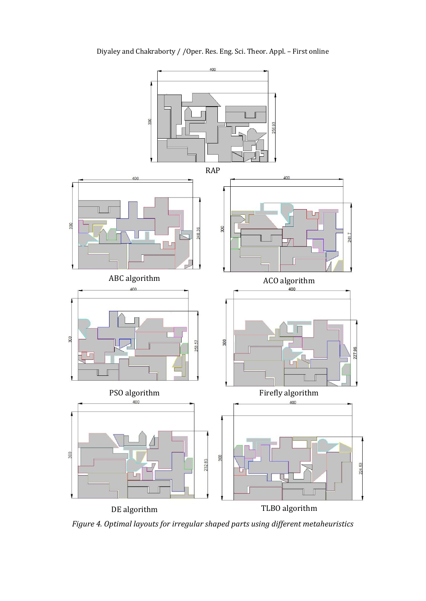

Diyaley and Chakraborty / /Oper. Res. Eng. Sci. Theor. Appl. – First online

*Figure 4. Optimal layouts for irregular shaped parts using different metaheuristics*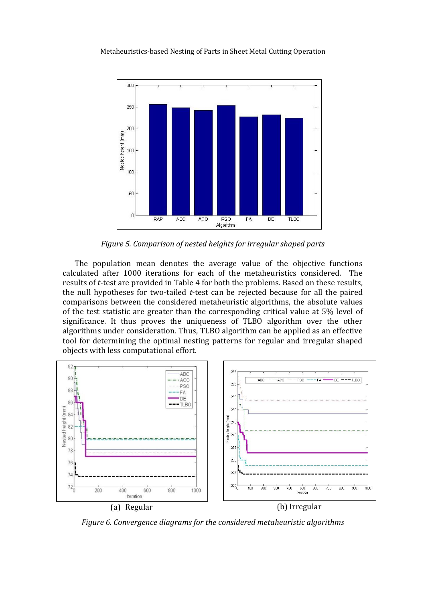

*Figure 5. Comparison of nested heights for irregular shaped parts*

The population mean denotes the average value of the objective functions calculated after 1000 iterations for each of the metaheuristics considered. The results of *t*-test are provided in Table 4 for both the problems. Based on these results, the null hypotheses for two-tailed *t*-test can be rejected because for all the paired comparisons between the considered metaheuristic algorithms, the absolute values of the test statistic are greater than the corresponding critical value at 5% level of significance. It thus proves the uniqueness of TLBO algorithm over the other algorithms under consideration. Thus, TLBO algorithm can be applied as an effective tool for determining the optimal nesting patterns for regular and irregular shaped objects with less computational effort.



*Figure 6. Convergence diagrams for the considered metaheuristic algorithms*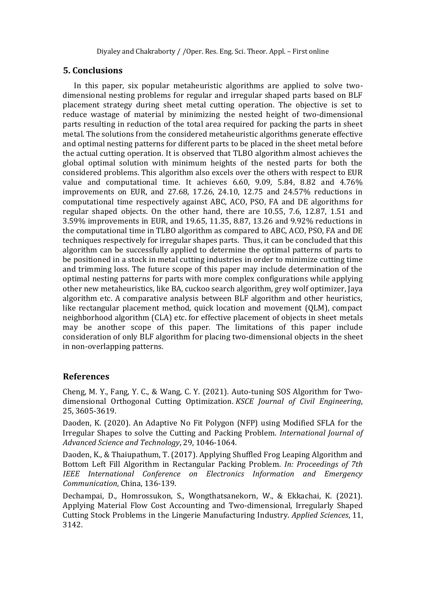# **5. Conclusions**

In this paper, six popular metaheuristic algorithms are applied to solve twodimensional nesting problems for regular and irregular shaped parts based on BLF placement strategy during sheet metal cutting operation. The objective is set to reduce wastage of material by minimizing the nested height of two-dimensional parts resulting in reduction of the total area required for packing the parts in sheet metal. The solutions from the considered metaheuristic algorithms generate effective and optimal nesting patterns for different parts to be placed in the sheet metal before the actual cutting operation. It is observed that TLBO algorithm almost achieves the global optimal solution with minimum heights of the nested parts for both the considered problems. This algorithm also excels over the others with respect to EUR value and computational time. It achieves 6.60, 9.09, 5.84, 8.82 and 4.76% improvements on EUR, and 27.68, 17.26, 24.10, 12.75 and 24.57% reductions in computational time respectively against ABC, ACO, PSO, FA and DE algorithms for regular shaped objects. On the other hand, there are 10.55, 7.6, 12.87, 1.51 and 3.59% improvements in EUR, and 19.65, 11.35, 8.87, 13.26 and 9.92% reductions in the computational time in TLBO algorithm as compared to ABC, ACO, PSO, FA and DE techniques respectively for irregular shapes parts. Thus, it can be concluded that this algorithm can be successfully applied to determine the optimal patterns of parts to be positioned in a stock in metal cutting industries in order to minimize cutting time and trimming loss. The future scope of this paper may include determination of the optimal nesting patterns for parts with more complex configurations while applying other new metaheuristics, like BA, cuckoo search algorithm, grey wolf optimizer, Jaya algorithm etc. A comparative analysis between BLF algorithm and other heuristics, like rectangular placement method, quick location and movement (QLM), compact neighborhood algorithm (CLA) etc. for effective placement of objects in sheet metals may be another scope of this paper. The limitations of this paper include consideration of only BLF algorithm for placing two-dimensional objects in the sheet in non-overlapping patterns.

# **References**

Cheng, M. Y., Fang, Y. C., & Wang, C. Y. (2021). Auto-tuning SOS Algorithm for Twodimensional Orthogonal Cutting Optimization. *KSCE Journal of Civil Engineering*, 25, 3605-3619.

Daoden, K. (2020). An Adaptive No Fit Polygon (NFP) using Modified SFLA for the Irregular Shapes to solve the Cutting and Packing Problem. *International Journal of Advanced Science and Technology*, 29, 1046-1064.

Daoden, K., & Thaiupathum, T. (2017). Applying Shuffled Frog Leaping Algorithm and Bottom Left Fill Algorithm in Rectangular Packing Problem. *In: Proceedings of 7th IEEE International Conference on Electronics Information and Emergency Communication*, China, 136-139.

Dechampai, D., Homrossukon, S., Wongthatsanekorn, W., & Ekkachai, K. (2021). Applying Material Flow Cost Accounting and Two-dimensional, Irregularly Shaped Cutting Stock Problems in the Lingerie Manufacturing Industry. *Applied Sciences*, 11, 3142.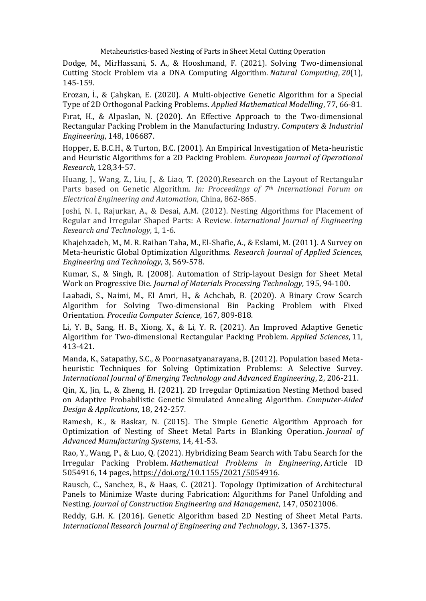Dodge, M., MirHassani, S. A., & Hooshmand, F. (2021). Solving Two-dimensional Cutting Stock Problem via a DNA Computing Algorithm. *Natural Computing*, *20*(1), 145-159.

Erozan, İ., & Çalışkan, E. (2020). A Multi-objective Genetic Algorithm for a Special Type of 2D Orthogonal Packing Problems. *Applied Mathematical Modelling*, 77, 66-81.

Fırat, H., & Alpaslan, N. (2020). An Effective Approach to the Two-dimensional Rectangular Packing Problem in the Manufacturing Industry. *Computers & Industrial Engineering*, 148, 106687.

Hopper, E. B.C.H., & Turton, B.C. (2001). An Empirical Investigation of Meta-heuristic and Heuristic Algorithms for a 2D Packing Problem. *European Journal of Operational Research*, 128,34-57.

Huang, J., Wang, Z., Liu, J., & Liao, T. (2020).Research on the Layout of Rectangular Parts based on Genetic Algorithm. *In: Proceedings of 7th International Forum on Electrical Engineering and Automation*, China, 862-865.

Joshi, N. I., Rajurkar, A., & Desai, A.M. (2012). Nesting Algorithms for Placement of Regular and Irregular Shaped Parts: A Review. *International Journal of Engineering Research and Technology*, 1, 1-6.

Khajehzadeh, M., M. R. Raihan Taha, M., El-Shafie, A., & Eslami, M. (2011). A Survey on Meta-heuristic Global Optimization Algorithms. *Research Journal of Applied Sciences, Engineering and Technology*, 3, 569-578.

Kumar, S., & Singh, R. (2008). Automation of Strip-layout Design for Sheet Metal Work on Progressive Die. *Journal of Materials Processing Technology*, 195, 94-100.

Laabadi, S., Naimi, M., El Amri, H., & Achchab, B. (2020). A Binary Crow Search Algorithm for Solving Two-dimensional Bin Packing Problem with Fixed Orientation. *Procedia Computer Science*, 167, 809-818.

Li, Y. B., Sang, H. B., Xiong, X., & Li, Y. R. (2021). An Improved Adaptive Genetic Algorithm for Two-dimensional Rectangular Packing Problem. *Applied Sciences*, 11, 413-421.

Manda, K., Satapathy, S.C., & Poornasatyanarayana, B. (2012). Population based Metaheuristic Techniques for Solving Optimization Problems: A Selective Survey. *International Journal of Emerging Technology and Advanced Engineering*, 2, 206-211.

Qin, X., Jin, L., & Zheng, H. (2021). 2D Irregular Optimization Nesting Method based on Adaptive Probabilistic Genetic Simulated Annealing Algorithm. *Computer-Aided Design & Applications*, 18, 242-257.

Ramesh, K., & Baskar, N. (2015). The Simple Genetic Algorithm Approach for Optimization of Nesting of Sheet Metal Parts in Blanking Operation. *Journal of Advanced Manufacturing Systems*, 14, 41-53.

Rao, Y., Wang, P., & Luo, Q. (2021). Hybridizing Beam Search with Tabu Search for the Irregular Packing Problem. *Mathematical Problems in Engineering*, Article ID 5054916, 14 pages, [https://doi.org/10.1155/2021/5054916.](https://doi.org/10.1155/2021/5054916)

Rausch, C., Sanchez, B., & Haas, C. (2021). Topology Optimization of Architectural Panels to Minimize Waste during Fabrication: Algorithms for Panel Unfolding and Nesting. *Journal of Construction Engineering and Management*, 147, 05021006.

Reddy, G.H. K. (2016). Genetic Algorithm based 2D Nesting of Sheet Metal Parts. *International Research Journal of Engineering and Technology*, 3, 1367-1375.